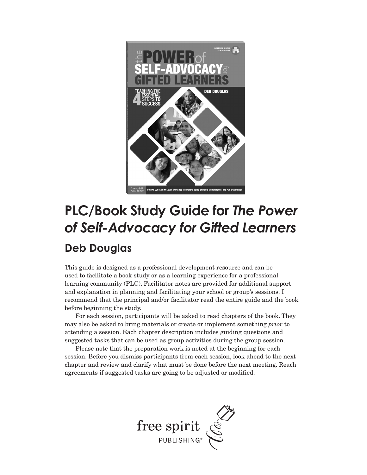

#### **PLC/Book Study Guide for** *The Power of Self-Advocacy for Gifted Learners*

#### **Deb Douglas**

This guide is designed as a professional development resource and can be used to facilitate a book study or as a learning experience for a professional learning community (PLC). Facilitator notes are provided for additional support and explanation in planning and facilitating your school or group's sessions. I recommend that the principal and/or facilitator read the entire guide and the book before beginning the study.

For each session, participants will be asked to read chapters of the book. They may also be asked to bring materials or create or implement something *prior* to attending a session. Each chapter description includes guiding questions and suggested tasks that can be used as group activities during the group session.

Please note that the preparation work is noted at the beginning for each session. Before you dismiss participants from each session, look ahead to the next chapter and review and clarify what must be done before the next meeting. Reach agreements if suggested tasks are going to be adjusted or modified.

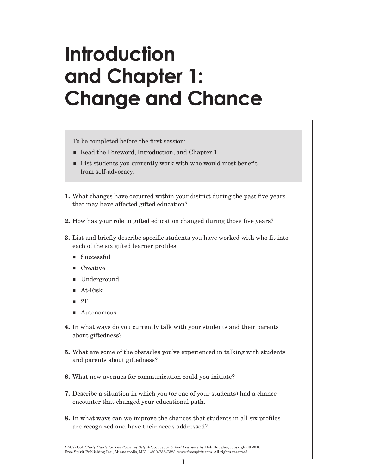### **Introduction and Chapter 1: Change and Chance**

To be completed before the first session:

- Read the Foreword, Introduction, and Chapter 1.
- List students you currently work with who would most benefit from self-advocacy.
- **1.** What changes have occurred within your district during the past five years that may have affected gifted education?
- **2.** How has your role in gifted education changed during those five years?
- **3.** List and briefly describe specific students you have worked with who fit into each of the six gifted learner profiles:
	- Successful
	- Creative
	- **Underground**
	- At-Risk
	- $-2E$
	- Autonomous
- **4.** In what ways do you currently talk with your students and their parents about giftedness?
- **5.** What are some of the obstacles you've experienced in talking with students and parents about giftedness?
- **6.** What new avenues for communication could you initiate?
- **7.** Describe a situation in which you (or one of your students) had a chance encounter that changed your educational path.
- **8.** In what ways can we improve the chances that students in all six profiles are recognized and have their needs addressed?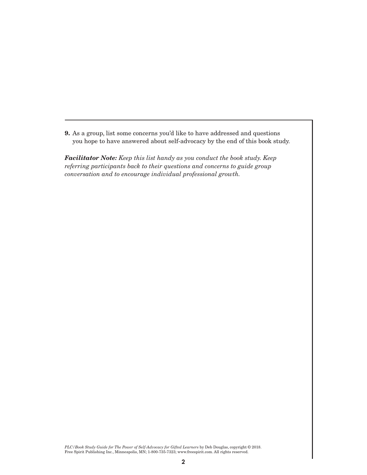**9.** As a group, list some concerns you'd like to have addressed and questions you hope to have answered about self-advocacy by the end of this book study.

*Facilitator Note: Keep this list handy as you conduct the book study. Keep referring participants back to their questions and concerns to guide group conversation and to encourage individual professional growth.*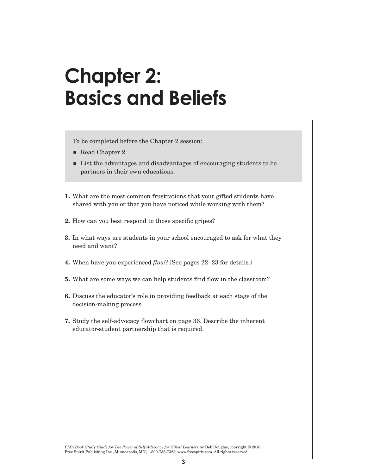#### **Chapter 2: Basics and Beliefs**

To be completed before the Chapter 2 session:

- Read Chapter 2.
- **Example 1** List the advantages and disadvantages of encouraging students to be partners in their own educations.
- **1.** What are the most common frustrations that your gifted students have shared with you or that you have noticed while working with them?
- **2.** How can you best respond to those specific gripes?
- **3.** In what ways are students in your school encouraged to ask for what they need and want?
- **4.** When have you experienced *flow*? (See pages 22–23 for details.)
- **5.** What are some ways we can help students find flow in the classroom?
- **6.** Discuss the educator's role in providing feedback at each stage of the decision-making process.
- **7.** Study the self-advocacy flowchart on page 36. Describe the inherent educator-student partnership that is required.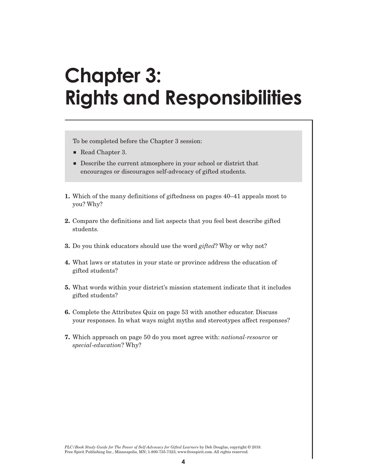# **Chapter 3: Rights and Responsibilities**

To be completed before the Chapter 3 session:

- Read Chapter 3.
- **Describe the current atmosphere in your school or district that** encourages or discourages self-advocacy of gifted students.
- **1.** Which of the many definitions of giftedness on pages 40–41 appeals most to you? Why?
- **2.** Compare the definitions and list aspects that you feel best describe gifted students.
- **3.** Do you think educators should use the word *gifted*? Why or why not?
- **4.** What laws or statutes in your state or province address the education of gifted students?
- **5.** What words within your district's mission statement indicate that it includes gifted students?
- **6.** Complete the Attributes Quiz on page 53 with another educator. Discuss your responses. In what ways might myths and stereotypes affect responses?
- **7.** Which approach on page 50 do you most agree with: *national-resource* or *special-education*? Why?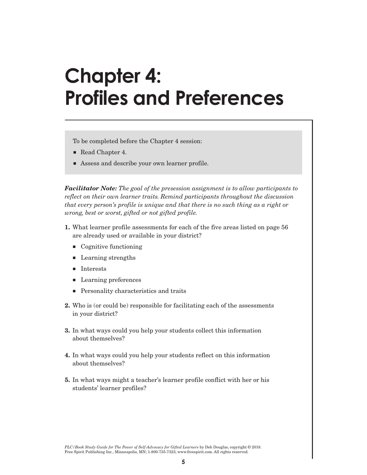### **Chapter 4: Profiles and Preferences**

To be completed before the Chapter 4 session:

- Read Chapter 4.
- Assess and describe your own learner profile.

*Facilitator Note: The goal of the presession assignment is to allow participants to reflect on their own learner traits. Remind participants throughout the discussion that every person's profile is unique and that there is no such thing as a right or wrong, best or worst, gifted or not gifted profile.* 

- **1.** What learner profile assessments for each of the five areas listed on page 56 are already used or available in your district?
	- Cognitive functioning
	- Learning strengths
	- **Interests**
	- **Learning preferences**
	- **Personality characteristics and traits**
- **2.** Who is (or could be) responsible for facilitating each of the assessments in your district?
- **3.** In what ways could you help your students collect this information about themselves?
- **4.** In what ways could you help your students reflect on this information about themselves?
- **5.** In what ways might a teacher's learner profile conflict with her or his students' learner profiles?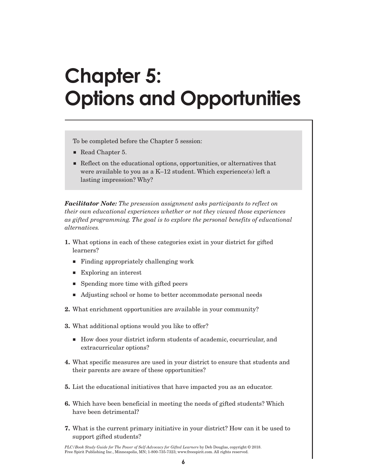# **Chapter 5: Options and Opportunities**

To be completed before the Chapter 5 session:

- Read Chapter 5.
- Reflect on the educational options, opportunities, or alternatives that were available to you as a K–12 student. Which experience(s) left a lasting impression? Why?

*Facilitator Note: The presession assignment asks participants to reflect on their own educational experiences whether or not they viewed those experiences as gifted programming. The goal is to explore the personal benefits of educational alternatives.*

- **1.** What options in each of these categories exist in your district for gifted learners?
	- Finding appropriately challenging work
	- Exploring an interest
	- **Spending more time with gifted peers**
	- Adjusting school or home to better accommodate personal needs
- **2.** What enrichment opportunities are available in your community?
- **3.** What additional options would you like to offer?
	- How does your district inform students of academic, cocurricular, and extracurricular options?
- **4.** What specific measures are used in your district to ensure that students and their parents are aware of these opportunities?
- **5.** List the educational initiatives that have impacted you as an educator.
- **6.** Which have been beneficial in meeting the needs of gifted students? Which have been detrimental?
- **7.** What is the current primary initiative in your district? How can it be used to support gifted students?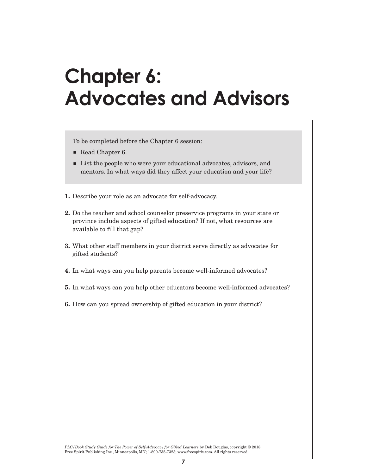#### **Chapter 6: Advocates and Advisors**

To be completed before the Chapter 6 session:

- Read Chapter 6.
- List the people who were your educational advocates, advisors, and mentors. In what ways did they affect your education and your life?
- **1.** Describe your role as an advocate for self-advocacy.
- **2.** Do the teacher and school counselor preservice programs in your state or province include aspects of gifted education? If not, what resources are available to fill that gap?
- **3.** What other staff members in your district serve directly as advocates for gifted students?
- **4.** In what ways can you help parents become well-informed advocates?
- **5.** In what ways can you help other educators become well-informed advocates?
- **6.** How can you spread ownership of gifted education in your district?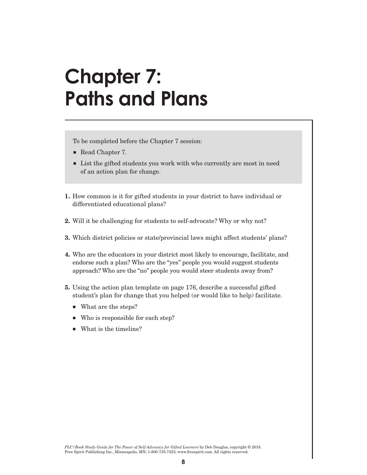#### **Chapter 7: Paths and Plans**

To be completed before the Chapter 7 session:

- Read Chapter 7.
- List the gifted students you work with who currently are most in need of an action plan for change.
- **1.** How common is it for gifted students in your district to have individual or differentiated educational plans?
- **2.** Will it be challenging for students to self-advocate? Why or why not?
- **3.** Which district policies or state/provincial laws might affect students' plans?
- **4.** Who are the educators in your district most likely to encourage, facilitate, and endorse such a plan? Who are the "yes" people you would suggest students approach? Who are the "no" people you would steer students away from?
- **5.** Using the action plan template on page 176, describe a successful gifted student's plan for change that you helped (or would like to help) facilitate.
	- What are the steps?
	- Who is responsible for each step?
	- What is the timeline?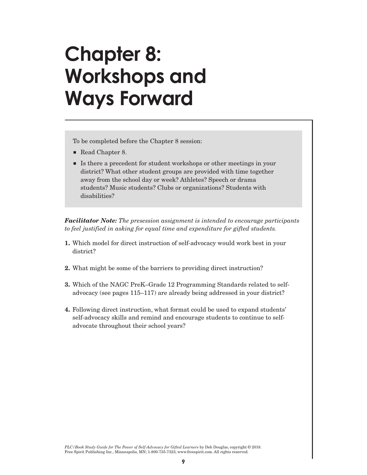## **Chapter 8: Workshops and Ways Forward**

To be completed before the Chapter 8 session:

- Read Chapter 8.
- Is there a precedent for student workshops or other meetings in your district? What other student groups are provided with time together away from the school day or week? Athletes? Speech or drama students? Music students? Clubs or organizations? Students with disabilities?

*Facilitator Note: The presession assignment is intended to encourage participants to feel justified in asking for equal time and expenditure for gifted students.*

- **1.** Which model for direct instruction of self-advocacy would work best in your district?
- **2.** What might be some of the barriers to providing direct instruction?
- **3.** Which of the NAGC PreK–Grade 12 Programming Standards related to selfadvocacy (see pages 115–117) are already being addressed in your district?
- **4.** Following direct instruction, what format could be used to expand students' self-advocacy skills and remind and encourage students to continue to selfadvocate throughout their school years?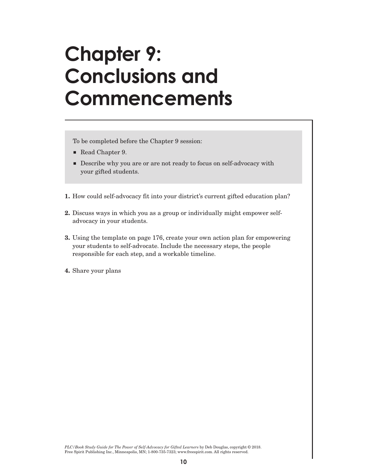## **Chapter 9: Conclusions and Commencements**

To be completed before the Chapter 9 session:

- Read Chapter 9.
- Describe why you are or are not ready to focus on self-advocacy with your gifted students.
- **1.** How could self-advocacy fit into your district's current gifted education plan?
- **2.** Discuss ways in which you as a group or individually might empower selfadvocacy in your students.
- **3.** Using the template on page 176, create your own action plan for empowering your students to self-advocate. Include the necessary steps, the people responsible for each step, and a workable timeline.
- **4.** Share your plans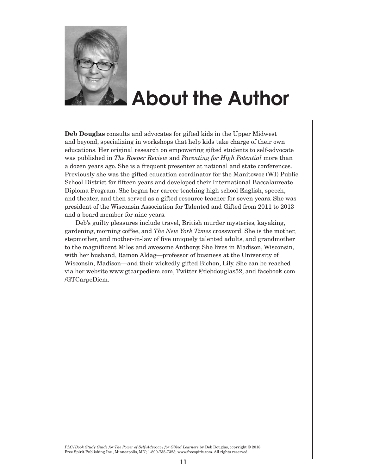

#### **About the Author**

**Deb Douglas** consults and advocates for gifted kids in the Upper Midwest and beyond, specializing in workshops that help kids take charge of their own educations. Her original research on empowering gifted students to self-advocate was published in *The Roeper Review* and *Parenting for High Potential* more than a dozen years ago. She is a frequent presenter at national and state conferences. Previously she was the gifted education coordinator for the Manitowoc (WI) Public School District for fifteen years and developed their International Baccalaureate Diploma Program. She began her career teaching high school English, speech, and theater, and then served as a gifted resource teacher for seven years. She was president of the Wisconsin Association for Talented and Gifted from 2011 to 2013 and a board member for nine years.

Deb's guilty pleasures include travel, British murder mysteries, kayaking, gardening, morning coffee, and *The New York Times* crossword. She is the mother, stepmother, and mother-in-law of five uniquely talented adults, and grandmother to the magnificent Miles and awesome Anthony. She lives in Madison, Wisconsin, with her husband, Ramon Aldag—professor of business at the University of Wisconsin, Madison—and their wickedly gifted Bichon, Lily. She can be reached via her website www.gtcarpediem.com, Twitter @debdouglas52, and facebook.com /GTCarpeDiem.